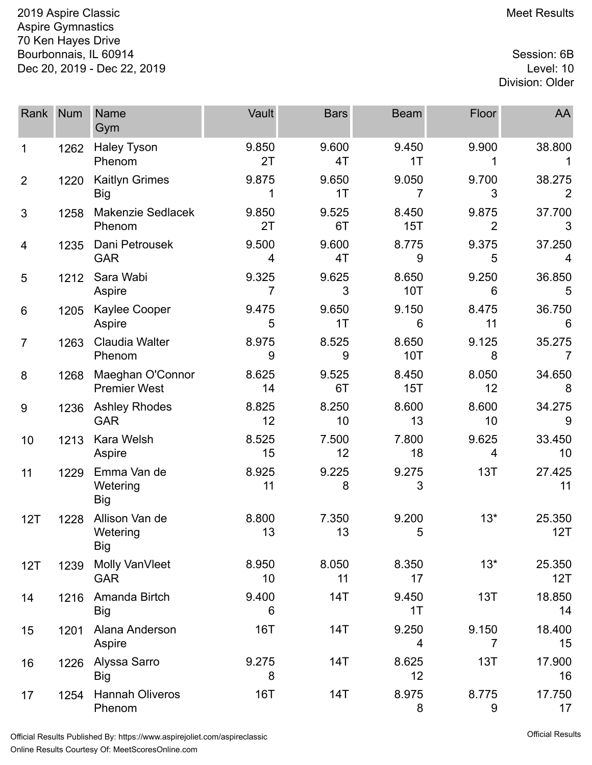2019 Aspire Classic **Meet Results** 2019 Aspire Classic Aspire Gymnastics 70 Ken Hayes Drive Bourbonnais, IL 60914 Session: 6B Dec 20, 2019 - Dec 22, 2019 Level: 10

## Division: Older

| Rank           | <b>Num</b> | <b>Name</b><br>Gym                       | Vault       | <b>Bars</b> | <b>Beam</b>         | Floor                   | AA                       |
|----------------|------------|------------------------------------------|-------------|-------------|---------------------|-------------------------|--------------------------|
| 1              | 1262       | <b>Haley Tyson</b><br>Phenom             | 9.850<br>2T | 9.600<br>4T | 9.450<br>1T         | 9.900                   | 38.800                   |
| $\overline{2}$ | 1220       | <b>Kaitlyn Grimes</b><br><b>Big</b>      | 9.875       | 9.650<br>1T | 9.050<br>7          | 9.700<br>3              | 38.275<br>$\overline{2}$ |
| 3              | 1258       | <b>Makenzie Sedlacek</b><br>Phenom       | 9.850<br>2T | 9.525<br>6T | 8.450<br>15T        | 9.875<br>$\overline{2}$ | 37.700<br>3              |
| 4              | 1235       | Dani Petrousek<br><b>GAR</b>             | 9.500<br>4  | 9.600<br>4T | 8.775<br>9          | 9.375<br>5              | 37.250<br>4              |
| 5              | 1212       | Sara Wabi<br>Aspire                      | 9.325<br>7  | 9.625<br>3  | 8.650<br><b>10T</b> | 9.250<br>6              | 36.850<br>5              |
| 6              | 1205       | Kaylee Cooper<br>Aspire                  | 9.475<br>5  | 9.650<br>1T | 9.150<br>6          | 8.475<br>11             | 36.750<br>6              |
| $\overline{7}$ | 1263       | <b>Claudia Walter</b><br>Phenom          | 8.975<br>9  | 8.525<br>9  | 8.650<br><b>10T</b> | 9.125<br>8              | 35.275<br>$\overline{7}$ |
| 8              | 1268       | Maeghan O'Connor<br><b>Premier West</b>  | 8.625<br>14 | 9.525<br>6T | 8.450<br>15T        | 8.050<br>12             | 34.650<br>8              |
| 9              | 1236       | <b>Ashley Rhodes</b><br><b>GAR</b>       | 8.825<br>12 | 8.250<br>10 | 8.600<br>13         | 8.600<br>10             | 34.275<br>9              |
| 10             | 1213       | Kara Welsh<br>Aspire                     | 8.525<br>15 | 7.500<br>12 | 7.800<br>18         | 9.625<br>4              | 33.450<br>10             |
| 11             | 1229       | Emma Van de<br>Wetering<br><b>Big</b>    | 8.925<br>11 | 9.225<br>8  | 9.275<br>3          | 13T                     | 27.425<br>11             |
| 12T            | 1228       | Allison Van de<br>Wetering<br><b>Big</b> | 8.800<br>13 | 7.350<br>13 | 9.200<br>5          | $13*$                   | 25.350<br>12T            |
| 12T            | 1239       | Molly VanVleet<br><b>GAR</b>             | 8.950<br>10 | 8.050<br>11 | 8.350<br>17         | $13*$                   | 25.350<br>12T            |
| 14             | 1216       | Amanda Birtch<br><b>Big</b>              | 9.400<br>6  | 14T         | 9.450<br>1T         | 13T                     | 18.850<br>14             |
| 15             | 1201       | Alana Anderson<br>Aspire                 | <b>16T</b>  | 14T         | 9.250<br>4          | 9.150<br>7              | 18.400<br>15             |
| 16             | 1226       | Alyssa Sarro<br><b>Big</b>               | 9.275<br>8  | 14T         | 8.625<br>12         | 13T                     | 17.900<br>16             |
| 17             | 1254       | <b>Hannah Oliveros</b><br>Phenom         | <b>16T</b>  | 14T         | 8.975<br>8          | 8.775<br>9              | 17.750<br>17             |